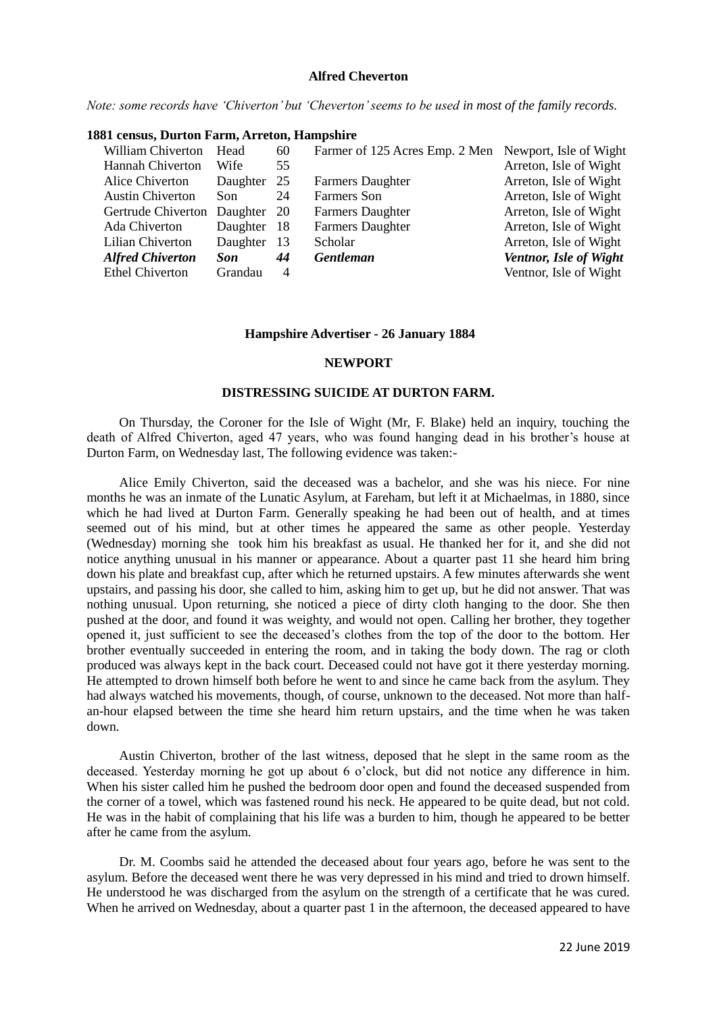# **Alfred Cheverton**

*Note: some records have 'Chiverton' but 'Cheverton' seems to be used in most of the family records.*

## **1881 census, Durton Farm, Arreton, Hampshire**

| <b>William Chiverton</b> | Head     | 60             | Farmer of 125 Acres Emp. 2 Men Newport, Isle of Wight |                        |
|--------------------------|----------|----------------|-------------------------------------------------------|------------------------|
| <b>Hannah Chiverton</b>  | Wife     | 55             |                                                       | Arreton, Isle of Wight |
| Alice Chiverton          | Daughter | 25             | <b>Farmers Daughter</b>                               | Arreton, Isle of Wight |
| <b>Austin Chiverton</b>  | Son      | 24             | Farmers Son                                           | Arreton, Isle of Wight |
| Gertrude Chiverton       | Daughter | - 20           | <b>Farmers Daughter</b>                               | Arreton, Isle of Wight |
| Ada Chiverton            | Daughter | -18            | <b>Farmers Daughter</b>                               | Arreton, Isle of Wight |
| Lilian Chiverton         | Daughter | -13            | Scholar                                               | Arreton, Isle of Wight |
| <b>Alfred Chiverton</b>  | Son      | 44             | <b>Gentleman</b>                                      | Ventnor, Isle of Wight |
| <b>Ethel Chiverton</b>   | Grandau  | $\overline{4}$ |                                                       | Ventnor, Isle of Wight |

#### **Hampshire Advertiser - 26 January 1884**

#### **NEWPORT**

## **DISTRESSING SUICIDE AT DURTON FARM.**

On Thursday, the Coroner for the Isle of Wight (Mr, F. Blake) held an inquiry, touching the death of Alfred Chiverton, aged 47 years, who was found hanging dead in his brother's house at Durton Farm, on Wednesday last, The following evidence was taken:-

Alice Emily Chiverton, said the deceased was a bachelor, and she was his niece. For nine months he was an inmate of the Lunatic Asylum, at Fareham, but left it at Michaelmas, in 1880, since which he had lived at Durton Farm. Generally speaking he had been out of health, and at times seemed out of his mind, but at other times he appeared the same as other people. Yesterday (Wednesday) morning she took him his breakfast as usual. He thanked her for it, and she did not notice anything unusual in his manner or appearance. About a quarter past 11 she heard him bring down his plate and breakfast cup, after which he returned upstairs. A few minutes afterwards she went upstairs, and passing his door, she called to him, asking him to get up, but he did not answer. That was nothing unusual. Upon returning, she noticed a piece of dirty cloth hanging to the door. She then pushed at the door, and found it was weighty, and would not open. Calling her brother, they together opened it, just sufficient to see the deceased's clothes from the top of the door to the bottom. Her brother eventually succeeded in entering the room, and in taking the body down. The rag or cloth produced was always kept in the back court. Deceased could not have got it there yesterday morning. He attempted to drown himself both before he went to and since he came back from the asylum. They had always watched his movements, though, of course, unknown to the deceased. Not more than halfan-hour elapsed between the time she heard him return upstairs, and the time when he was taken down.

Austin Chiverton, brother of the last witness, deposed that he slept in the same room as the deceased. Yesterday morning he got up about 6 o'clock, but did not notice any difference in him. When his sister called him he pushed the bedroom door open and found the deceased suspended from the corner of a towel, which was fastened round his neck. He appeared to be quite dead, but not cold. He was in the habit of complaining that his life was a burden to him, though he appeared to be better after he came from the asylum.

Dr. M. Coombs said he attended the deceased about four years ago, before he was sent to the asylum. Before the deceased went there he was very depressed in his mind and tried to drown himself. He understood he was discharged from the asylum on the strength of a certificate that he was cured. When he arrived on Wednesday, about a quarter past 1 in the afternoon, the deceased appeared to have